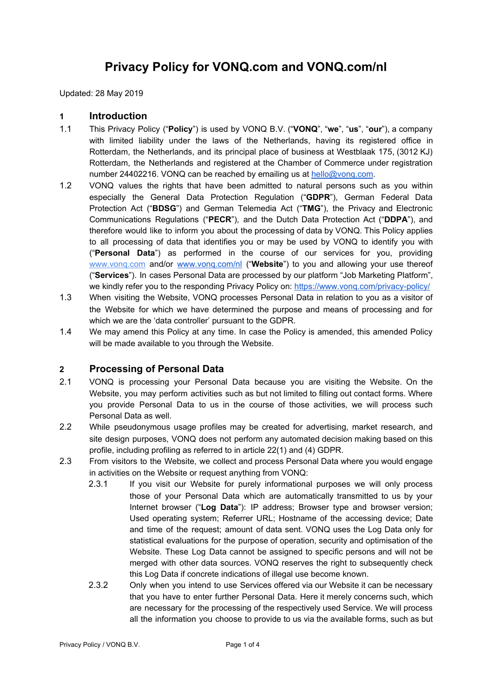# **Privacy Policy for VONQ.com and VONQ.com/nl**

Updated: 28 May 2019

#### **1 Introduction**

- 1.1 This Privacy Policy ("**Policy**") is used by VONQ B.V. ("**VONQ**", "**we**", "**us**", "**our**"), a company with limited liability under the laws of the Netherlands, having its registered office in Rotterdam, the Netherlands, and its principal place of business at Westblaak 175, (3012 KJ) Rotterdam, the Netherlands and registered at the Chamber of Commerce under registration number 24402216. VONQ can be reached by emailing us at [hello@vonq.com](mailto:hello@vonq.com).
- 1.2 VONQ values the rights that have been admitted to natural persons such as you within especially the General Data Protection Regulation ("**GDPR**"), German Federal Data Protection Act ("**BDSG**") and German Telemedia Act ("**TMG**"), the Privacy and Electronic Communications Regulations ("**PECR**"), and the Dutch Data Protection Act ("**DDPA**"), and therefore would like to inform you about the processing of data by VONQ. This Policy applies to all processing of data that identifies you or may be used by VONQ to identify you with ("**Personal Data**") as performed in the course of our services for you, providing [www.vonq.com](http://www.vonq.com/) and/or [www.vonq.com/nl](http://www.vonq.com/nl) ("**Website**") to you and allowing your use thereof ("**Services**"). In cases Personal Data are processed by our platform "Job Marketing Platform", we kindly refer you to the responding Privacy Policy on: <https://www.vonq.com/privacy-policy/>
- 1.3 When visiting the Website, VONQ processes Personal Data in relation to you as a visitor of the Website for which we have determined the purpose and means of processing and for which we are the 'data controller' pursuant to the GDPR.
- 1.4 We may amend this Policy at any time. In case the Policy is amended, this amended Policy will be made available to you through the Website.

### **2 Processing of Personal Data**

- 2.1 VONQ is processing your Personal Data because you are visiting the Website. On the Website, you may perform activities such as but not limited to filling out contact forms. Where you provide Personal Data to us in the course of those activities, we will process such Personal Data as well.
- 2.2 While pseudonymous usage profiles may be created for advertising, market research, and site design purposes, VONQ does not perform any automated decision making based on this profile, including profiling as referred to in article 22(1) and (4) GDPR.
- 2.3 From visitors to the Website, we collect and process Personal Data where you would engage in activities on the Website or request anything from VONQ:
	- 2.3.1 If you visit our Website for purely informational purposes we will only process those of your Personal Data which are automatically transmitted to us by your Internet browser ("**Log Data**"): IP address; Browser type and browser version; Used operating system; Referrer URL; Hostname of the accessing device; Date and time of the request; amount of data sent. VONQ uses the Log Data only for statistical evaluations for the purpose of operation, security and optimisation of the Website. These Log Data cannot be assigned to specific persons and will not be merged with other data sources. VONQ reserves the right to subsequently check this Log Data if concrete indications of illegal use become known.
	- 2.3.2 Only when you intend to use Services offered via our Website it can be necessary that you have to enter further Personal Data. Here it merely concerns such, which are necessary for the processing of the respectively used Service. We will process all the information you choose to provide to us via the available forms, such as but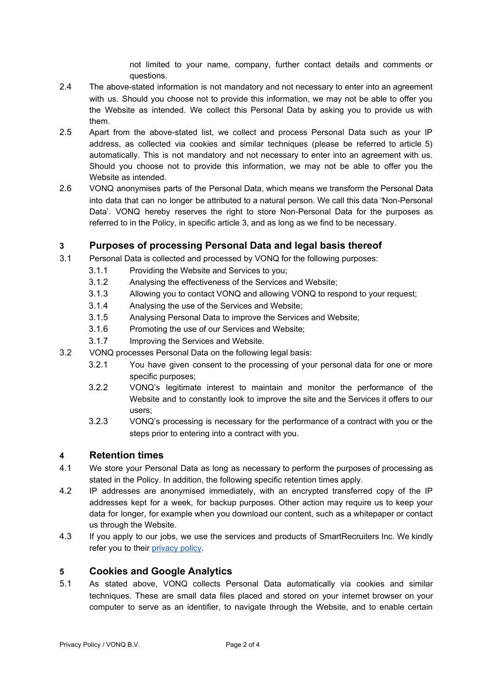not limited to your name, company, further contact details and comments or questions.

- 2.4 The above-stated information is not mandatory and not necessary to enter into an agreement with us. Should you choose not to provide this information, we may not be able to offer you the Website as intended. We collect this Personal Data by asking you to provide us with them.
- 2.5 Apart from the above-stated list, we collect and process Personal Data such as your IP address, as collected via cookies and similar techniques (please be referred to article 5) automatically. This is not mandatory and not necessary to enter into an agreement with us. Should you choose not to provide this information, we may not be able to offer you the Website as intended.
- 2.6 VONQ anonymises parts of the Personal Data, which means we transform the Personal Data into data that can no longer be attributed to a natural person. We call this data 'Non-Personal Data'. VONQ hereby reserves the right to store Non-Personal Data for the purposes as referred to in the Policy, in specific article 3, and as long as we find to be necessary.

## **3 Purposes of processing Personal Data and legal basis thereof**

- 3.1 Personal Data is collected and processed by VONQ for the following purposes:
	- 3.1.1 Providing the Website and Services to you;
	- 3.1.2 Analysing the effectiveness of the Services and Website;
	- 3.1.3 Allowing you to contact VONQ and allowing VONQ to respond to your request;
	- 3.1.4 Analysing the use of the Services and Website;
	- 3.1.5 Analysing Personal Data to improve the Services and Website;
	- 3.1.6 Promoting the use of our Services and Website;
	- 3.1.7 Improving the Services and Website.
- 3.2 VONQ processes Personal Data on the following legal basis:
	- 3.2.1 You have given consent to the processing of your personal data for one or more specific purposes;
	- 3.2.2 VONQ's legitimate interest to maintain and monitor the performance of the Website and to constantly look to improve the site and the Services it offers to our users;
	- 3.2.3 VONQ's processing is necessary for the performance of a contract with you or the steps prior to entering into a contract with you.

### **4 Retention times**

- 4.1 We store your Personal Data as long as necessary to perform the purposes of processing as stated in the Policy. In addition, the following specific retention times apply.
- 4.2 IP addresses are anonymised immediately, with an encrypted transferred copy of the IP addresses kept for a week, for backup purposes. Other action may require us to keep your data for longer, for example when you download our content, such as a whitepaper or contact us through the Website.
- 4.3 If you apply to our jobs, we use the services and products of SmartRecruiters Inc. We kindly refer you to their [privacy](https://www.smartrecruiters.com/legal/candidate-privacy-policy/) policy.

### **5 Cookies and Google Analytics**

5.1 As stated above, VONQ collects Personal Data automatically via cookies and similar techniques. These are small data files placed and stored on your internet browser on your computer to serve as an identifier, to navigate through the Website, and to enable certain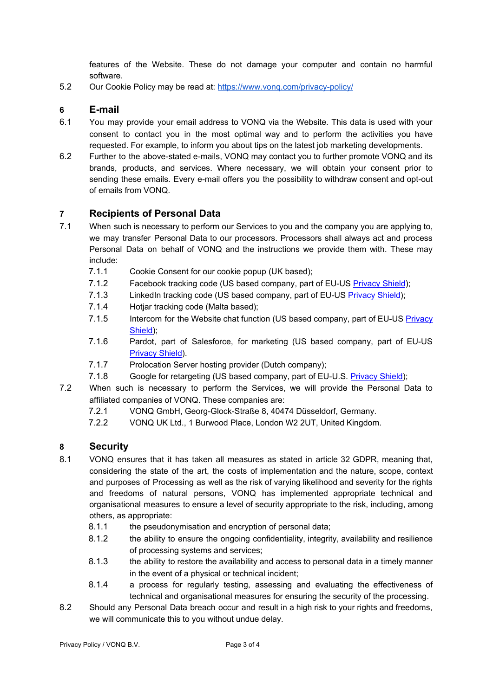features of the Website. These do not damage your computer and contain no harmful software.

5.2 Our Cookie Policy may be read at: https://www.vong.com/privacy-policy/

#### **6 E-mail**

- 6.1 You may provide your email address to VONQ via the Website. This data is used with your consent to contact you in the most optimal way and to perform the activities you have requested. For example, to inform you about tips on the latest job marketing developments.
- 6.2 Further to the above-stated e-mails, VONQ may contact you to further promote VONQ and its brands, products, and services. Where necessary, we will obtain your consent prior to sending these emails. Every e-mail offers you the possibility to withdraw consent and opt-out of emails from VONQ.

### **7 Recipients of Personal Data**

- 7.1 When such is necessary to perform our Services to you and the company you are applying to, we may transfer Personal Data to our processors. Processors shall always act and process Personal Data on behalf of VONQ and the instructions we provide them with. These may include:
	- 7.1.1 Cookie Consent for our cookie popup (UK based);
	- 7.1.2 Facebook tracking code (US based company, part of EU-US [Privacy](https://www.privacyshield.gov/participant?id=a2zt0000000GnywAAC&status=Active) Shield);
	- 7.1.3 LinkedIn tracking code (US based company, part of EU-US [Privacy](https://www.privacyshield.gov/participant?id=a2zt0000000L0UZAA0&status=Active) Shield);
	- 7.1.4 Hotjar tracking code (Malta based);
	- 7.1.5 Intercom for the Website chat function (US based company, part of EU-US [Privacy](https://www.privacyshield.gov/participant?id=a2zt0000000TNQvAAO&status=Active) [Shield\)](https://www.privacyshield.gov/participant?id=a2zt0000000TNQvAAO&status=Active);
	- 7.1.6 Pardot, part of Salesforce, for marketing (US based company, part of EU-US [Privacy](https://www.privacyshield.gov/participant?id=a2zt0000000KzLyAAK&status=Active) Shield).
	- 7.1.7 Prolocation Server hosting provider (Dutch company);
	- 7.1.8 Google for retargeting (US based company, part of EU-U.S. **[Privacy](https://www.privacyshield.gov/participant?id=a2zt000000001L5AAI&status=Active) Shield)**;
- 7.2 When such is necessary to perform the Services, we will provide the Personal Data to affiliated companies of VONQ. These companies are:
	- 7.2.1 VONQ GmbH, Georg-Glock-Straße 8, 40474 Düsseldorf, Germany.
	- 7.2.2 VONQ UK Ltd., 1 Burwood Place, London W2 2UT, United Kingdom.

### **8 Security**

- 8.1 VONQ ensures that it has taken all measures as stated in article 32 GDPR, meaning that, considering the state of the art, the costs of implementation and the nature, scope, context and purposes of Processing as well as the risk of varying likelihood and severity for the rights and freedoms of natural persons, VONQ has implemented appropriate technical and organisational measures to ensure a level of security appropriate to the risk, including, among others, as appropriate:
	- 8.1.1 the pseudonymisation and encryption of personal data;
	- 8.1.2 the ability to ensure the ongoing confidentiality, integrity, availability and resilience of processing systems and services;
	- 8.1.3 the ability to restore the availability and access to personal data in a timely manner in the event of a physical or technical incident;
	- 8.1.4 a process for regularly testing, assessing and evaluating the effectiveness of technical and organisational measures for ensuring the security of the processing.
- 8.2 Should any Personal Data breach occur and result in a high risk to your rights and freedoms, we will communicate this to you without undue delay.